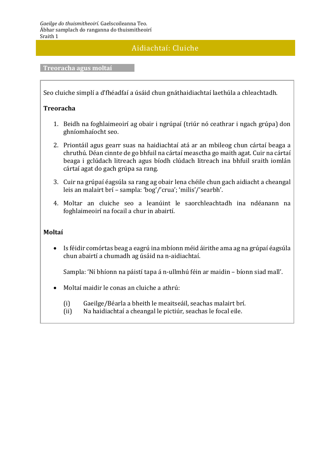## Aidiachtaí: Cluiche

## **Treoracha agus moltaí**

Seo cluiche simplí a d'fhéadfaí a úsáid chun gnáthaidiachtaí laethúla a chleachtadh.

## **Treoracha**

- 1. Beidh na foghlaimeoirí ag obair i ngrúpaí (triúr nó ceathrar i ngach grúpa) don ghníomhaíocht seo.
- 2. Priontáil agus gearr suas na haidiachtaí atá ar an mbileog chun cártaí beaga a chruthú. Déan cinnte de go bhfuil na cártaí measctha go maith agat. Cuir na cártaí beaga i gclúdach litreach agus bíodh clúdach litreach ina bhfuil sraith iomlán cártaí agat do gach grúpa sa rang.
- 3. Cuir na grúpaí éagsúla sa rang ag obair lena chéile chun gach aidiacht a cheangal leis an malairt brí – sampla: 'bog'/'crua'; 'milis'/'searbh'.
- 4. Moltar an cluiche seo a leanúint le saorchleachtadh ina ndéanann na foghlaimeoirí na focail a chur in abairtí.

## **Moltaí**

 Is féidir comórtas beag a eagrú ina mbíonn méid áirithe ama ag na grúpaí éagsúla chun abairtí a chumadh ag úsáid na n-aidiachtaí.

Sampla: 'Ní bhíonn na páistí tapa á n-ullmhú féin ar maidin – bíonn siad mall'.

- Moltaí maidir le conas an cluiche a athrú:
	- (i) Gaeilge/Béarla a bheith le meaitseáil, seachas malairt brí.
	- (ii) Na haidiachtaí a cheangal le pictiúr, seachas le focal eile.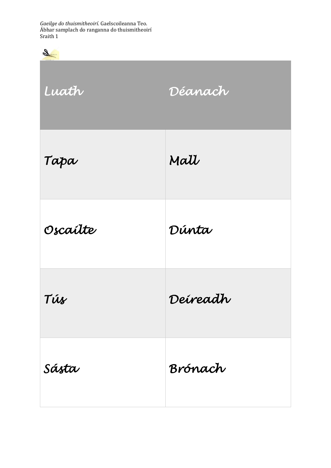*Gaeilge do thuismitheoirí*. Gaelscoileanna Teo. Ábhar samplach do ranganna do thuismitheoirí Sraith 1

| S        |          |
|----------|----------|
| Luath    | Déanach  |
| Tapa     | Mall     |
| Oscailte | Dúnta    |
| Tús      | Deireadh |
| Sásta    | Brónach  |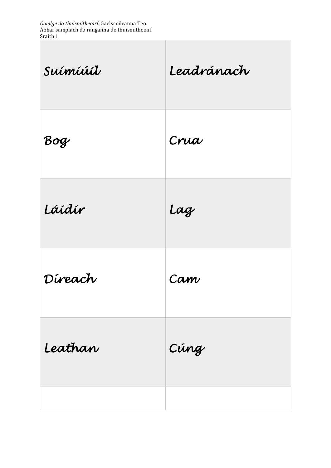*Gaeilge do thuismitheoirí*. Gaelscoileanna Teo. Ábhar samplach do ranganna do thuismitheoirí Sraith 1

L

| Suimiúil | Leadránach |
|----------|------------|
| Bog      | Crua       |
| Láidír   | Lag        |
| Díreach  | Cam        |
| Leathan  | Cúng       |
|          |            |

 $\overline{\phantom{a}}$